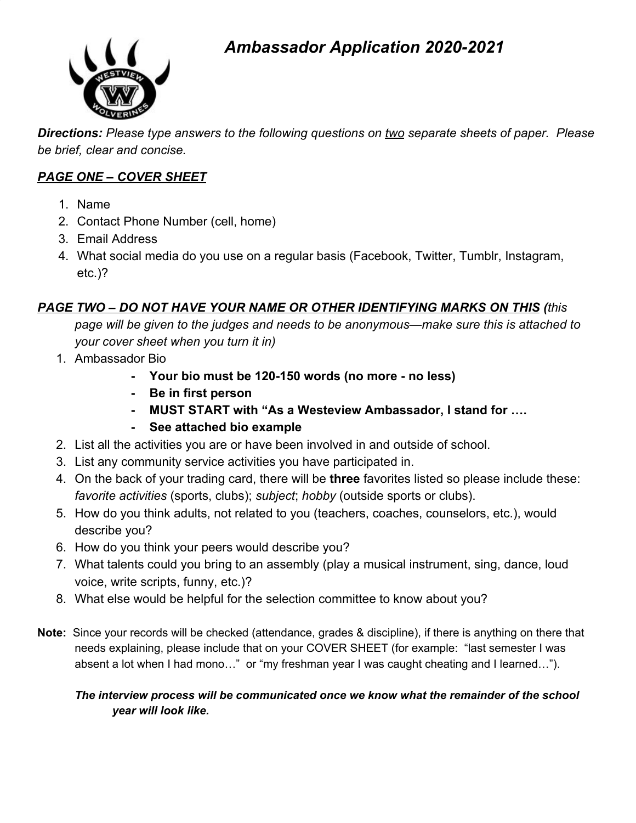### *Ambassador Application 2020-2021*



*Directions: Please type answers to the following questions on two separate sheets of paper. Please be brief, clear and concise.*

#### *PAGE ONE – COVER SHEET*

- 1. Name
- 2. Contact Phone Number (cell, home)
- 3. Email Address
- 4. What social media do you use on a regular basis (Facebook, Twitter, Tumblr, Instagram, etc.)?

#### *PAGE TWO – DO NOT HAVE YOUR NAME OR OTHER IDENTIFYING MARKS ON THIS (this*

*page will be given to the judges and needs to be anonymous—make sure this is attached to your cover sheet when you turn it in)*

- 1. Ambassador Bio
	- **- Your bio must be 120-150 words (no more no less)**
	- **- Be in first person**
	- **- MUST START with "As a Westeview Ambassador, I stand for ….**
	- **- See attached bio example**
- 2. List all the activities you are or have been involved in and outside of school.
- 3. List any community service activities you have participated in.
- 4. On the back of your trading card, there will be **three** favorites listed so please include these: *favorite activities* (sports, clubs); *subject*; *hobby* (outside sports or clubs).
- 5. How do you think adults, not related to you (teachers, coaches, counselors, etc.), would describe you?
- 6. How do you think your peers would describe you?
- 7. What talents could you bring to an assembly (play a musical instrument, sing, dance, loud voice, write scripts, funny, etc.)?
- 8. What else would be helpful for the selection committee to know about you?
- **Note:** Since your records will be checked (attendance, grades & discipline), if there is anything on there that needs explaining, please include that on your COVER SHEET (for example: "last semester I was absent a lot when I had mono…" or "my freshman year I was caught cheating and I learned…").

#### *The interview process will be communicated once we know what the remainder of the school year will look like.*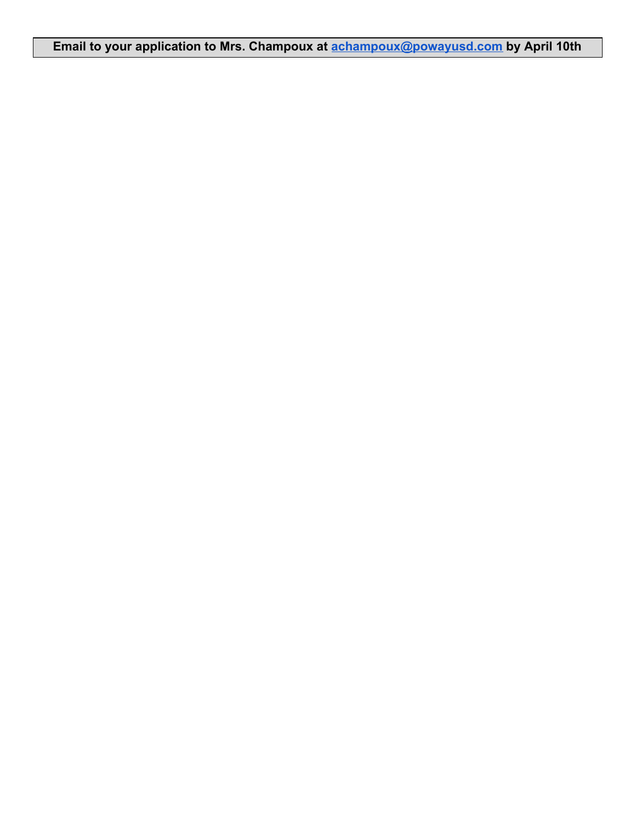**Email to your application to Mrs. Champoux at [achampoux@powayusd.com](mailto:achampoux@powayusd.com) by April 10th**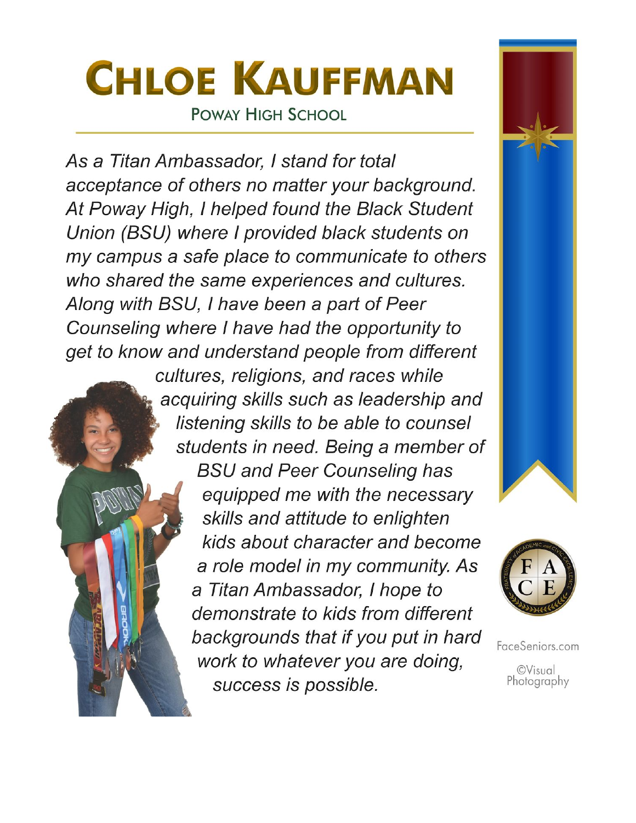## **CHLOE KAUFFMAN POWAY HIGH SCHOOL**

As a Titan Ambassador, I stand for total acceptance of others no matter your background. At Poway High, I helped found the Black Student Union (BSU) where I provided black students on my campus a safe place to communicate to others who shared the same experiences and cultures. Along with BSU, I have been a part of Peer Counseling where I have had the opportunity to get to know and understand people from different

cultures, religions, and races while acquiring skills such as leadership and listening skills to be able to counsel students in need. Being a member of **BSU and Peer Counseling has** equipped me with the necessary skills and attitude to enlighten kids about character and become a role model in my community. As a Titan Ambassador, I hope to demonstrate to kids from different backgrounds that if you put in hard work to whatever you are doing, success is possible.





FaceSeniors.com **©Visual** Photography